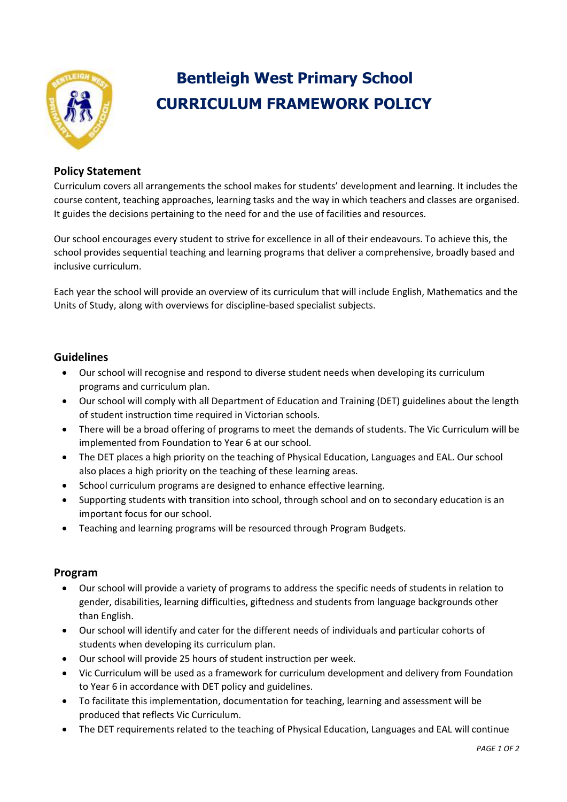

# **Bentleigh West Primary School CURRICULUM FRAMEWORK POLICY**

## **Policy Statement**

Curriculum covers all arrangements the school makes for students' development and learning. It includes the course content, teaching approaches, learning tasks and the way in which teachers and classes are organised. It guides the decisions pertaining to the need for and the use of facilities and resources.

Our school encourages every student to strive for excellence in all of their endeavours. To achieve this, the school provides sequential teaching and learning programs that deliver a comprehensive, broadly based and inclusive curriculum.

Each year the school will provide an overview of its curriculum that will include English, Mathematics and the Units of Study, along with overviews for discipline-based specialist subjects.

### **Guidelines**

- Our school will recognise and respond to diverse student needs when developing its curriculum programs and curriculum plan.
- Our school will comply with all Department of Education and Training (DET) guidelines about the length of student instruction time required in Victorian schools.
- There will be a broad offering of programs to meet the demands of students. The Vic Curriculum will be implemented from Foundation to Year 6 at our school.
- The DET places a high priority on the teaching of Physical Education, Languages and EAL. Our school also places a high priority on the teaching of these learning areas.
- School curriculum programs are designed to enhance effective learning.
- Supporting students with transition into school, through school and on to secondary education is an important focus for our school.
- Teaching and learning programs will be resourced through Program Budgets.

#### **Program**

- Our school will provide a variety of programs to address the specific needs of students in relation to gender, disabilities, learning difficulties, giftedness and students from language backgrounds other than English.
- Our school will identify and cater for the different needs of individuals and particular cohorts of students when developing its curriculum plan.
- Our school will provide 25 hours of student instruction per week.
- Vic Curriculum will be used as a framework for curriculum development and delivery from Foundation to Year 6 in accordance with DET policy and guidelines.
- To facilitate this implementation, documentation for teaching, learning and assessment will be produced that reflects Vic Curriculum.
- The DET requirements related to the teaching of Physical Education, Languages and EAL will continue